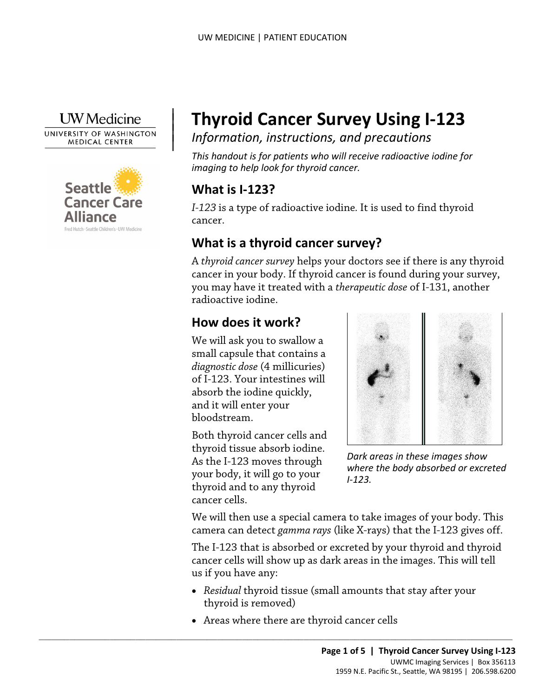#### **I** W Medicine

UNIVERSITY OF WASHINGTON **MEDICAL CENTER** 



# <sup>|</sup>**Thyroid Cancer Survey Using I-123** <sup>|</sup>*Information, instructions, and precautions* <sup>|</sup>

*This handout is for patients who will receive radioactive iodine for imaging to help look for thyroid cancer.* 

### **What is I-123?**

|

*I-123* is a type of radioactive iodine*.* It is used to find thyroid cancer.

## **What is a thyroid cancer survey?**

What is a thyroid cancer survey?<br>
A *thyroid cancer survey* helps your doctors see if there is any thy<br>
cancer in your body. If thyroid cancer is found during your sur<br>
you may have it treated with a *therapeutic dose* of A *thyroid cancer survey* helps your doctors see if there is any thyroid cancer in your body. If thyroid cancer is found during your survey, you may have it treated with a *therapeutic dose* of I-131, another radioactive iodine.

### **How does it work?**

We will ask you to swallow a small capsule that contains a *diagnostic dose* (4 millicuries) of I-123. Your intestines will absorb the iodine quickly, and it will enter your bloodstream.

Both thyroid cancer cells and thyroid tissue absorb iodine. As the I-123 moves through your body, it will go to your thyroid and to any thyroid cancer cells.



*Dark areas in these images show where the body absorbed or excreted I-123.* 

 camera can detect *gamma rays* (like X-rays) that the I-123 gives off. We will then use a special camera to take images of your body. This

 The I-123 that is absorbed or excreted by your thyroid and thyroid us if you have any: cancer cells will show up as dark areas in the images. This will tell

- • *Residual* thyroid tissue (small amounts that stay after your thyroid is removed)
- Areas where there are thyroid cancer cells

 $\_$  , and the set of the set of the set of the set of the set of the set of the set of the set of the set of the set of the set of the set of the set of the set of the set of the set of the set of the set of the set of th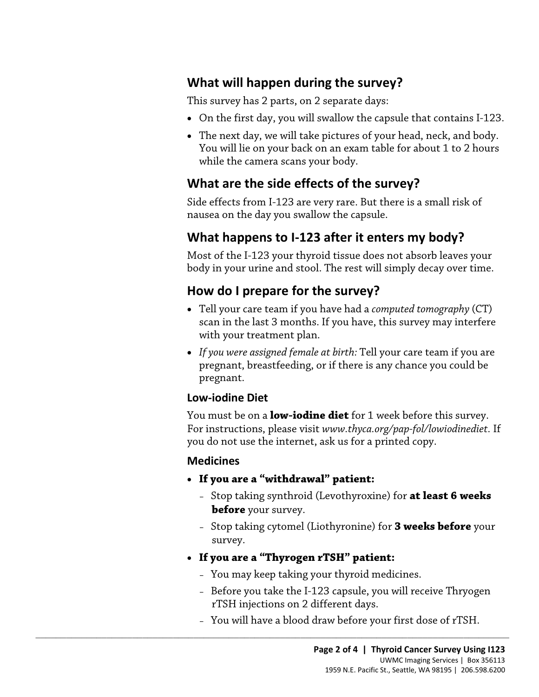### **What will happen during the survey?**

This survey has 2 parts, on 2 separate days:

- On the first day, you will swallow the capsule that contains I-123.
- • The next day, we will take pictures of your head, neck, and body. You will lie on your back on an exam table for about 1 to 2 hours while the camera scans your body.

#### **What are the side effects of the survey?**

Side effects from I-123 are very rare. But there is a small risk of nausea on the day you swallow the capsule.

#### **What happens to I-123 after it enters my body?**

Most of the I-123 your thyroid tissue does not absorb leaves your body in your urine and stool. The rest will simply decay over time.

#### **How do I prepare for the survey?**

- Most of the I-123 your thyroid tissue does not absorb leaves you<br>body in your urine and stool. The rest will simply decay over tin<br>**How do I prepare for the survey?**<br>• Tell your care team if you have had a *computed tomogr* • Tell your care team if you have had a *computed tomography* (CT) scan in the last 3 months. If you have, this survey may interfere with your treatment plan.
	- *If you were assigned female at birth:* Tell your care team if you are pregnant, breastfeeding, or if there is any chance you could be pregnant.

#### **Low-iodine Diet**

You must be on a **low-iodine diet** for 1 week before this survey. For instructions, please visit *<www.thyca.org/pap-fol/lowiodinediet>.* If you do not use the internet, ask us for a printed copy.

#### **Medicines**

- **If you are a "withdrawal" patient:** 
	- Stop taking synthroid (Levothyroxine) for **at least 6 weeks before** your survey.
	- Stop taking cytomel (Liothyronine) for **3 weeks before** your survey.
- **If you are a "Thyrogen rTSH" patient:**

 $\_$  ,  $\_$  ,  $\_$  ,  $\_$  ,  $\_$  ,  $\_$  ,  $\_$  ,  $\_$  ,  $\_$  ,  $\_$  ,  $\_$  ,  $\_$  ,  $\_$  ,  $\_$  ,  $\_$  ,  $\_$  ,  $\_$  ,  $\_$  ,  $\_$  ,  $\_$  ,  $\_$  ,  $\_$  ,  $\_$  ,  $\_$  ,  $\_$  ,  $\_$  ,  $\_$  ,  $\_$  ,  $\_$  ,  $\_$  ,  $\_$  ,  $\_$  ,  $\_$  ,  $\_$  ,  $\_$  ,  $\_$  ,  $\_$  ,

- You may keep taking your thyroid medicines.
- Before you take the I-123 capsule, you will receive Thryogen rTSH injections on 2 different days.
- You will have a blood draw before your first dose of rTSH.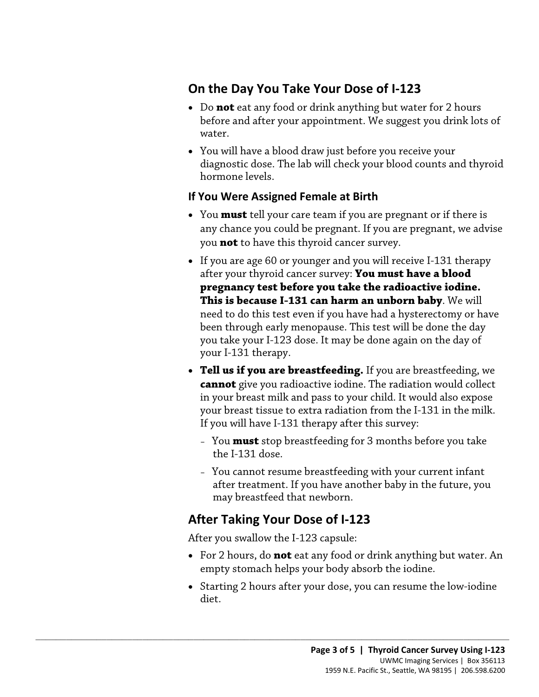### **On the Day You Take Your Dose of I-123**

- before and after your appointment. We suggest you drink lots of • Do **not** eat any food or drink anything but water for 2 hours water.
- You will have a blood draw just before you receive your diagnostic dose. The lab will check your blood counts and thyroid hormone levels.

#### **If You Were Assigned Female at Birth**

- • You **must** tell your care team if you are pregnant or if there is any chance you could be pregnant. If you are pregnant, we advise you **not** to have this thyroid cancer survey.
- after your thyroid cancer survey: **You must have a blood**  • If you are age 60 or younger and you will receive I-131 therap after your thyroid cancer survey: **You must have a blood pregnancy test before you take the radioactive iodine. This is because I-131 can harm an unborn bab** • If you are age 60 or younger and you will receive I-131 therapy **pregnancy test before you take the radioactive iodine. This is because I-131 can harm an unborn baby**. We will need to do this test even if you have had a hysterectomy or have been through early menopause. This test will be done the day you take your I-123 dose. It may be done again on the day of your I-131 therapy.
	- **cannot** give you radioactive iodine. The radiation would collect If you will have I-131 therapy after this survey: • **Tell us if you are breastfeeding.** If you are breastfeeding, we in your breast milk and pass to your child. It would also expose your breast tissue to extra radiation from the I-131 in the milk.
		- – You **must** stop breastfeeding for 3 months before you take the I-131 dose.
		- may breastfeed that newborn. – You cannot resume breastfeeding with your current infant after treatment. If you have another baby in the future, you

#### **After Taking Your Dose of I-123**

After you swallow the I-123 capsule:

 $\_$  ,  $\_$  ,  $\_$  ,  $\_$  ,  $\_$  ,  $\_$  ,  $\_$  ,  $\_$  ,  $\_$  ,  $\_$  ,  $\_$  ,  $\_$  ,  $\_$  ,  $\_$  ,  $\_$  ,  $\_$  ,  $\_$  ,  $\_$  ,  $\_$  ,  $\_$  ,  $\_$  ,  $\_$  ,  $\_$  ,  $\_$  ,  $\_$  ,  $\_$  ,  $\_$  ,  $\_$  ,  $\_$  ,  $\_$  ,  $\_$  ,  $\_$  ,  $\_$  ,  $\_$  ,  $\_$  ,  $\_$  ,  $\_$  ,

- For 2 hours, do **not** eat any food or drink anything but water. An empty stomach helps your body absorb the iodine.
- • Starting 2 hours after your dose, you can resume the low-iodine diet.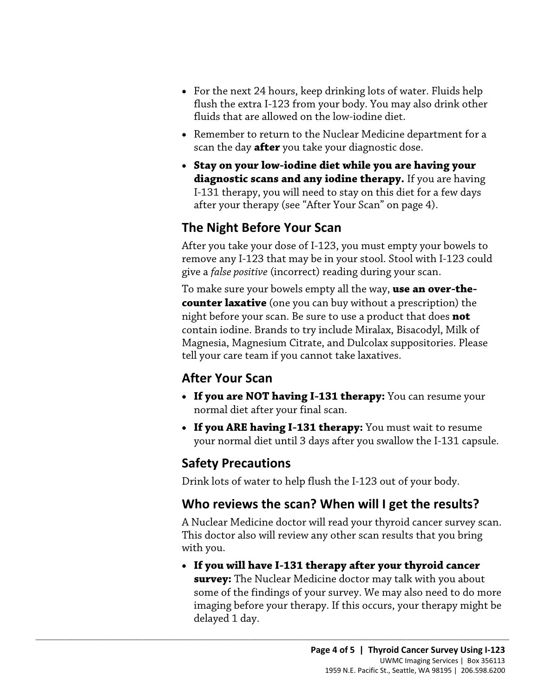- For the next 24 hours, keep drinking lots of water. Fluids help flush the extra I-123 from your body. You may also drink other fluids that are allowed on the low-iodine diet.
- Remember to return to the Nuclear Medicine department for a scan the day **after** you take your diagnostic dose.
- I-131 therapy, you will need to stay on this diet for a few days • **Stay on your low-iodine diet while you are having your diagnostic scans and any iodine therapy.** If you are having after your therapy (see "After Your Scan" on page 4).

# **The Night Before Your Scan**

 give a *false positive* (incorrect) reading during your scan. After you take your dose of I-123, you must empty your bowels to remove any I-123 that may be in your stool. Stool with I-123 could

remove any I-123 that may be in your stool. Stool with I-123 cou<br>give a *false positive* (incorrect) reading during your scan.<br>To make sure your bowels empty all the way, **use an over-the-<br>counter laxative** (one you can bu To make sure your bowels empty all the way, **use an over-thecounter laxative** (one you can buy without a prescription) the night before your scan. Be sure to use a product that does **not**  contain iodine. Brands to try include Miralax, Bisacodyl, Milk of Magnesia, Magnesium Citrate, and Dulcolax suppositories. Please tell your care team if you cannot take laxatives.

# **After Your Scan**

- **If you are NOT having I-131 therapy:** You can resume your normal diet after your final scan.
- **If you ARE having I-131 therapy:** You must wait to resume your normal diet until 3 days after you swallow the I-131 capsule.

## **Safety Precautions**

 $\_$  ,  $\_$  ,  $\_$  ,  $\_$  ,  $\_$  ,  $\_$  ,  $\_$  ,  $\_$  ,  $\_$  ,  $\_$  ,  $\_$  ,  $\_$  ,  $\_$  ,  $\_$  ,  $\_$  ,  $\_$  ,  $\_$  ,  $\_$  ,  $\_$  ,  $\_$  ,  $\_$  ,  $\_$  ,  $\_$  ,  $\_$  ,  $\_$  ,  $\_$  ,  $\_$  ,  $\_$  ,  $\_$  ,  $\_$  ,  $\_$  ,  $\_$  ,  $\_$  ,  $\_$  ,  $\_$  ,  $\_$  ,  $\_$  ,

Drink lots of water to help flush the I-123 out of your body.

# **Who reviews the scan? When will I get the results?**

 A Nuclear Medicine doctor will read your thyroid cancer survey scan. This doctor also will review any other scan results that you bring with you.

 • **If you will have I-131 therapy after your thyroid cancer**  some of the findings of your survey. We may also need to do more delayed 1 day. **survey:** The Nuclear Medicine doctor may talk with you about imaging before your therapy. If this occurs, your therapy might be